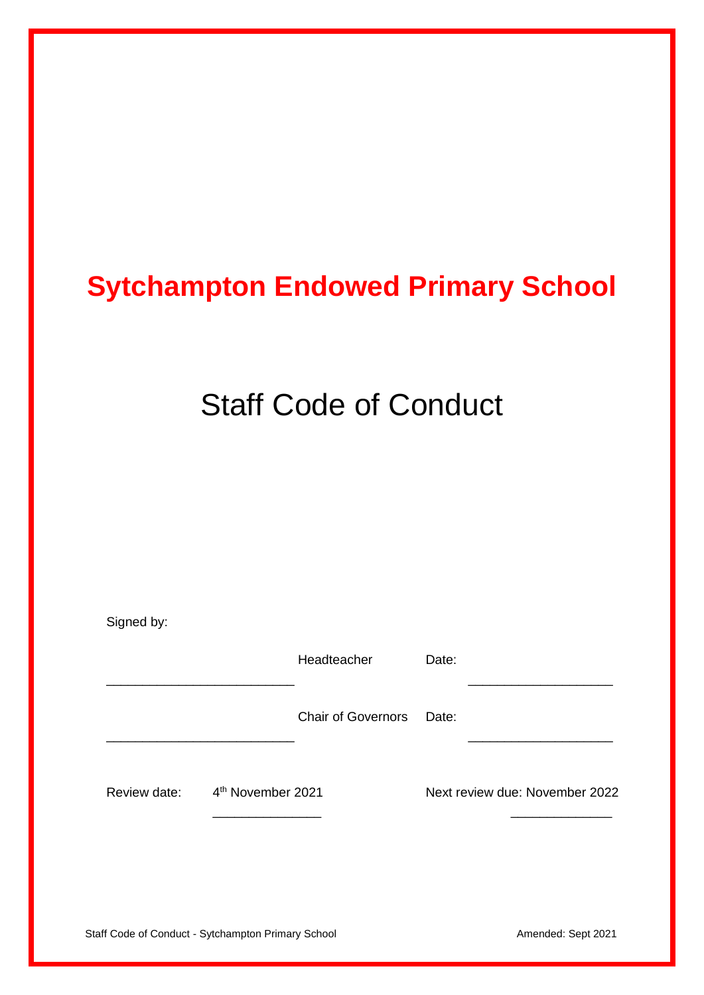## **Sytchampton Endowed Primary School**

# Staff Code of Conduct

| Signed by:   |                               |                           |                                |
|--------------|-------------------------------|---------------------------|--------------------------------|
|              |                               | Headteacher               | Date:                          |
|              |                               | <b>Chair of Governors</b> | Date:                          |
| Review date: | 4 <sup>th</sup> November 2021 |                           | Next review due: November 2022 |
|              |                               |                           |                                |

Staff Code of Conduct - Sytchampton Primary School **Amended: Sept 2021**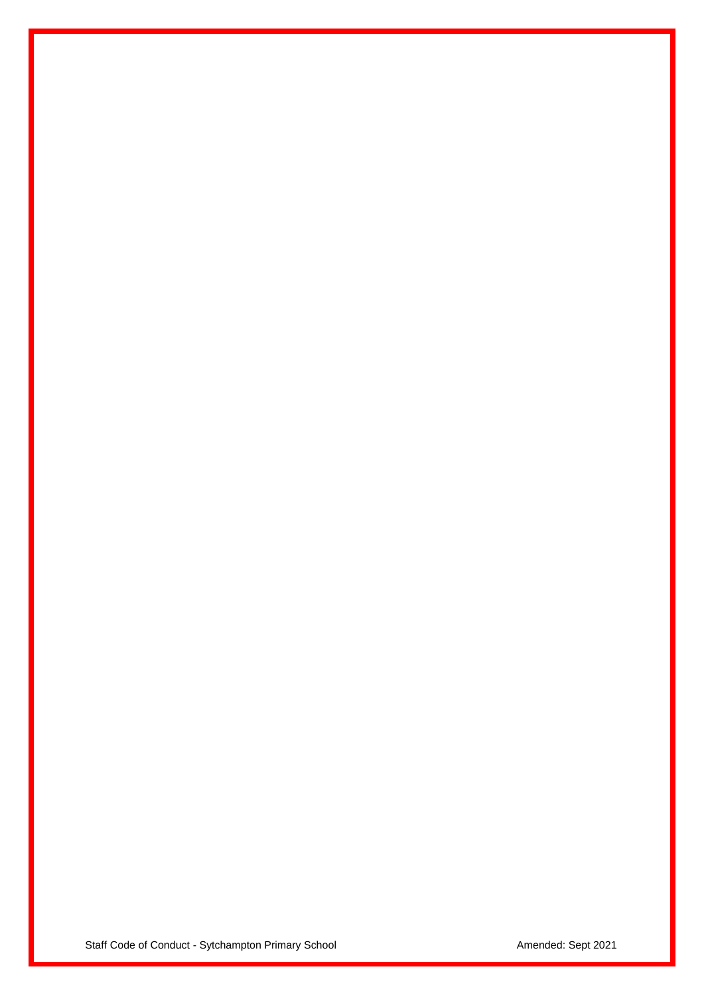Staff Code of Conduct - Sytchampton Primary School **Amended: Sept 2021**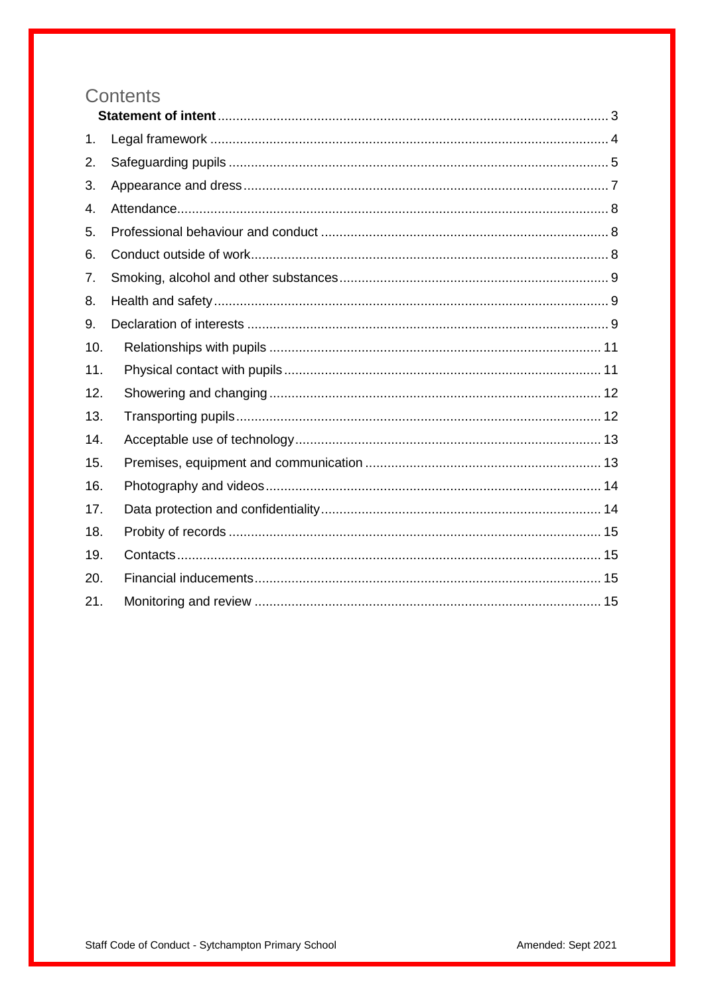## Contents

| 1.  |  |  |
|-----|--|--|
| 2.  |  |  |
| 3.  |  |  |
| 4.  |  |  |
| 5.  |  |  |
| 6.  |  |  |
| 7.  |  |  |
| 8.  |  |  |
| 9.  |  |  |
| 10. |  |  |
| 11. |  |  |
| 12. |  |  |
| 13. |  |  |
| 14. |  |  |
| 15. |  |  |
| 16. |  |  |
| 17. |  |  |
| 18. |  |  |
| 19. |  |  |
| 20. |  |  |
| 21. |  |  |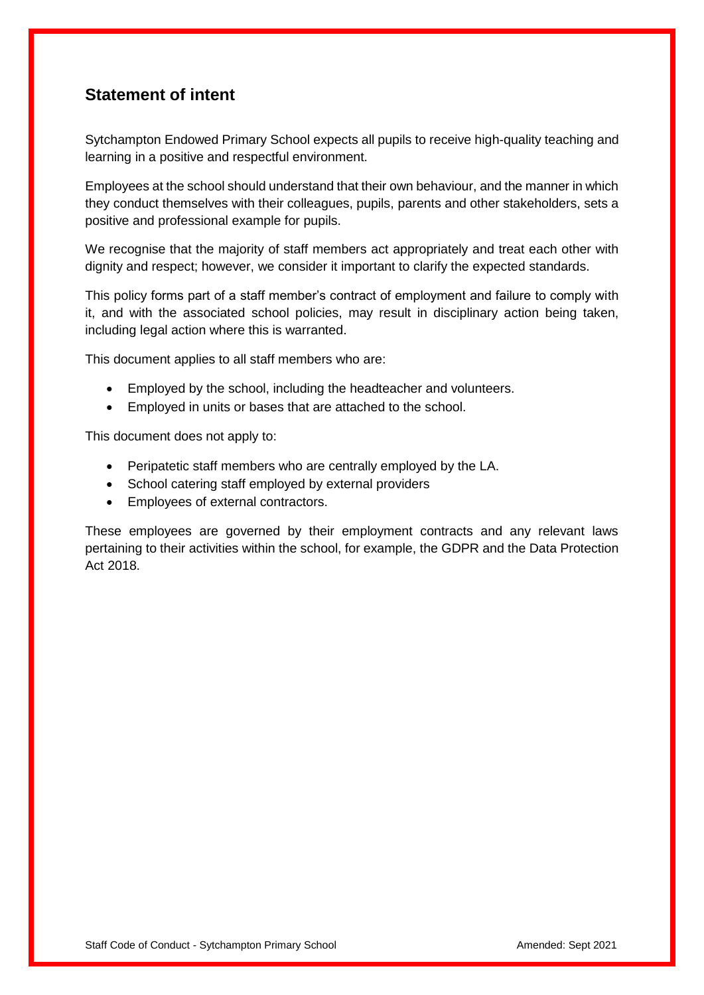## <span id="page-3-0"></span>**Statement of intent**

Sytchampton Endowed Primary School expects all pupils to receive high-quality teaching and learning in a positive and respectful environment.

Employees at the school should understand that their own behaviour, and the manner in which they conduct themselves with their colleagues, pupils, parents and other stakeholders, sets a positive and professional example for pupils.

We recognise that the majority of staff members act appropriately and treat each other with dignity and respect; however, we consider it important to clarify the expected standards.

This policy forms part of a staff member's contract of employment and failure to comply with it, and with the associated school policies, may result in disciplinary action being taken, including legal action where this is warranted.

This document applies to all staff members who are:

- Employed by the school, including the headteacher and volunteers.
- Employed in units or bases that are attached to the school.

This document does not apply to:

- Peripatetic staff members who are centrally employed by the LA.
- School catering staff employed by external providers
- Employees of external contractors.

These employees are governed by their employment contracts and any relevant laws pertaining to their activities within the school, for example, the GDPR and the Data Protection Act 2018.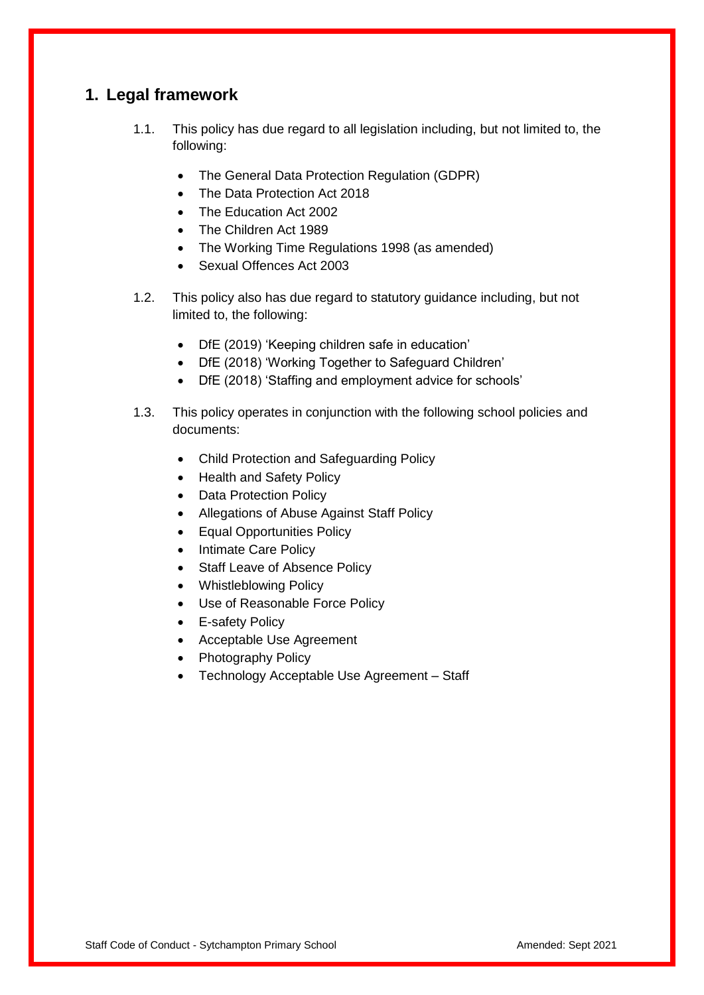#### <span id="page-4-0"></span>**1. Legal framework**

- 1.1. This policy has due regard to all legislation including, but not limited to, the following:
	- The General Data Protection Regulation (GDPR)
	- The Data Protection Act 2018
	- The Education Act 2002
	- The Children Act 1989
	- The Working Time Regulations 1998 (as amended)
	- Sexual Offences Act 2003
- 1.2. This policy also has due regard to statutory guidance including, but not limited to, the following:
	- DfE (2019) 'Keeping children safe in education'
	- DfE (2018) 'Working Together to Safeguard Children'
	- DfE (2018) 'Staffing and employment advice for schools'
- 1.3. This policy operates in conjunction with the following school policies and documents:
	- Child Protection and Safeguarding Policy
	- Health and Safety Policy
	- Data Protection Policy
	- Allegations of Abuse Against Staff Policy
	- Equal Opportunities Policy
	- Intimate Care Policy
	- Staff Leave of Absence Policy
	- Whistleblowing Policy
	- Use of Reasonable Force Policy
	- E-safety Policy
	- Acceptable Use Agreement
	- Photography Policy
	- Technology Acceptable Use Agreement Staff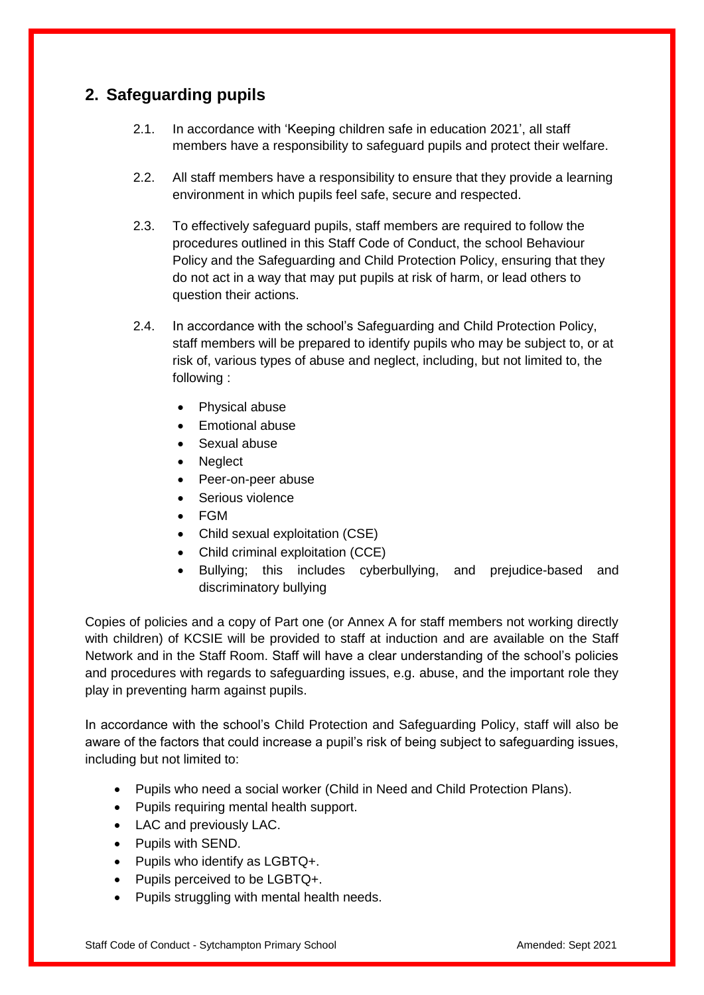## <span id="page-5-0"></span>**2. Safeguarding pupils**

- 2.1. In accordance with 'Keeping children safe in education 2021', all staff members have a responsibility to safeguard pupils and protect their welfare.
- 2.2. All staff members have a responsibility to ensure that they provide a learning environment in which pupils feel safe, secure and respected.
- 2.3. To effectively safeguard pupils, staff members are required to follow the procedures outlined in this Staff Code of Conduct, the school Behaviour Policy and the Safeguarding and Child Protection Policy, ensuring that they do not act in a way that may put pupils at risk of harm, or lead others to question their actions.
- 2.4. In accordance with the school's Safeguarding and Child Protection Policy, staff members will be prepared to identify pupils who may be subject to, or at risk of, various types of abuse and neglect, including, but not limited to, the following :
	- Physical abuse
	- **Emotional abuse**
	- Sexual abuse
	- Neglect
	- Peer-on-peer abuse
	- Serious violence
	- FGM
	- Child sexual exploitation (CSE)
	- Child criminal exploitation (CCE)
	- Bullying; this includes cyberbullying, and prejudice-based and discriminatory bullying

Copies of policies and a copy of Part one (or Annex A for staff members not working directly with children) of KCSIE will be provided to staff at induction and are available on the Staff Network and in the Staff Room. Staff will have a clear understanding of the school's policies and procedures with regards to safeguarding issues, e.g. abuse, and the important role they play in preventing harm against pupils.

In accordance with the school's Child Protection and Safeguarding Policy, staff will also be aware of the factors that could increase a pupil's risk of being subject to safeguarding issues, including but not limited to:

- Pupils who need a social worker (Child in Need and Child Protection Plans).
- Pupils requiring mental health support.
- LAC and previously LAC.
- Pupils with SEND.
- Pupils who identify as LGBTQ+.
- Pupils perceived to be LGBTQ+.
- Pupils struggling with mental health needs.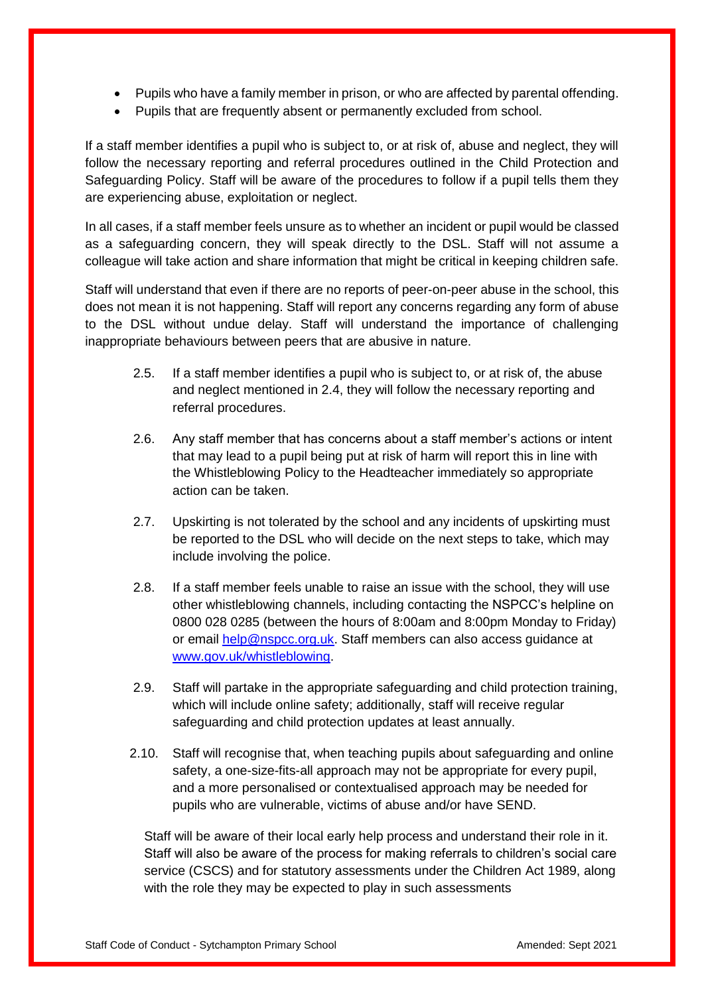- Pupils who have a family member in prison, or who are affected by parental offending.
- Pupils that are frequently absent or permanently excluded from school.

If a staff member identifies a pupil who is subject to, or at risk of, abuse and neglect, they will follow the necessary reporting and referral procedures outlined in the Child Protection and Safeguarding Policy. Staff will be aware of the procedures to follow if a pupil tells them they are experiencing abuse, exploitation or neglect.

In all cases, if a staff member feels unsure as to whether an incident or pupil would be classed as a safeguarding concern, they will speak directly to the DSL. Staff will not assume a colleague will take action and share information that might be critical in keeping children safe.

Staff will understand that even if there are no reports of peer-on-peer abuse in the school, this does not mean it is not happening. Staff will report any concerns regarding any form of abuse to the DSL without undue delay. Staff will understand the importance of challenging inappropriate behaviours between peers that are abusive in nature.

- 2.5. If a staff member identifies a pupil who is subject to, or at risk of, the abuse and neglect mentioned in 2.4, they will follow the necessary reporting and referral procedures.
- 2.6. Any staff member that has concerns about a staff member's actions or intent that may lead to a pupil being put at risk of harm will report this in line with the Whistleblowing Policy to the Headteacher immediately so appropriate action can be taken.
- 2.7. Upskirting is not tolerated by the school and any incidents of upskirting must be reported to the DSL who will decide on the next steps to take, which may include involving the police.
- 2.8. If a staff member feels unable to raise an issue with the school, they will use other whistleblowing channels, including contacting the NSPCC's helpline on 0800 028 0285 (between the hours of 8:00am and 8:00pm Monday to Friday) or email [help@nspcc.org.uk.](mailto:help@nspcc.org.uk) Staff members can also access guidance at [www.gov.uk/whistleblowing.](https://www.gov.uk/whistleblowing)
- 2.9. Staff will partake in the appropriate safeguarding and child protection training, which will include online safety; additionally, staff will receive regular safeguarding and child protection updates at least annually.
- 2.10. Staff will recognise that, when teaching pupils about safeguarding and online safety, a one-size-fits-all approach may not be appropriate for every pupil, and a more personalised or contextualised approach may be needed for pupils who are vulnerable, victims of abuse and/or have SEND.

Staff will be aware of their local early help process and understand their role in it. Staff will also be aware of the process for making referrals to children's social care service (CSCS) and for statutory assessments under the Children Act 1989, along with the role they may be expected to play in such assessments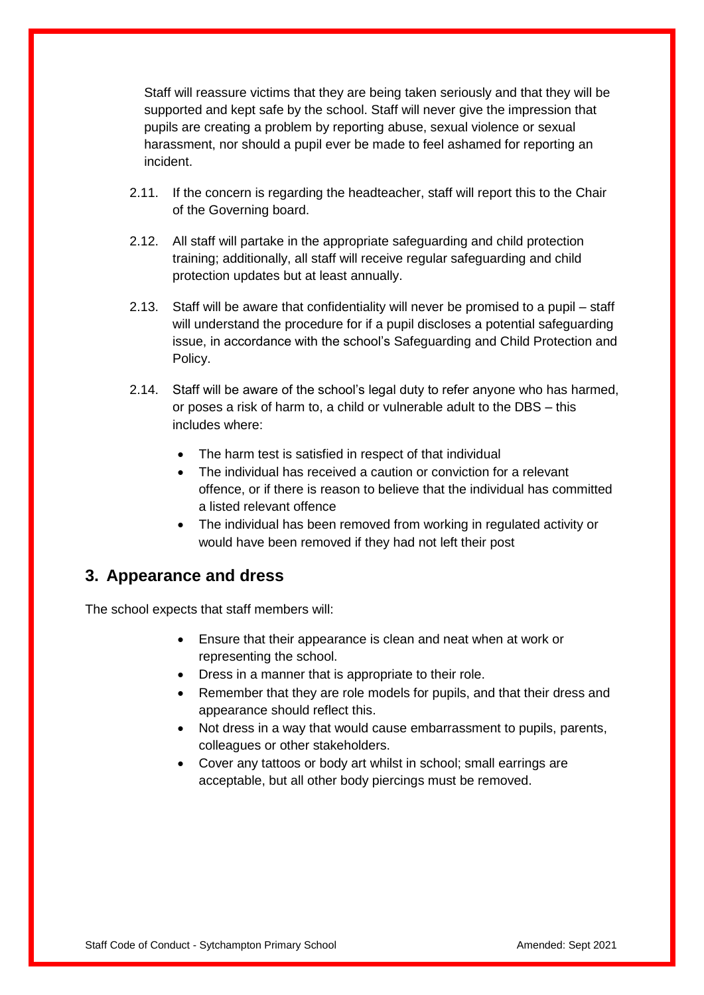Staff will reassure victims that they are being taken seriously and that they will be supported and kept safe by the school. Staff will never give the impression that pupils are creating a problem by reporting abuse, sexual violence or sexual harassment, nor should a pupil ever be made to feel ashamed for reporting an incident.

- 2.11. If the concern is regarding the headteacher, staff will report this to the Chair of the Governing board.
- 2.12. All staff will partake in the appropriate safeguarding and child protection training; additionally, all staff will receive regular safeguarding and child protection updates but at least annually.
- 2.13. Staff will be aware that confidentiality will never be promised to a pupil staff will understand the procedure for if a pupil discloses a potential safeguarding issue, in accordance with the school's Safeguarding and Child Protection and Policy.
- 2.14. Staff will be aware of the school's legal duty to refer anyone who has harmed, or poses a risk of harm to, a child or vulnerable adult to the DBS – this includes where:
	- The harm test is satisfied in respect of that individual
	- The individual has received a caution or conviction for a relevant offence, or if there is reason to believe that the individual has committed a listed relevant offence
	- The individual has been removed from working in regulated activity or would have been removed if they had not left their post

#### <span id="page-7-0"></span>**3. Appearance and dress**

The school expects that staff members will:

- Ensure that their appearance is clean and neat when at work or representing the school.
- Dress in a manner that is appropriate to their role.
- Remember that they are role models for pupils, and that their dress and appearance should reflect this.
- Not dress in a way that would cause embarrassment to pupils, parents, colleagues or other stakeholders.
- Cover any tattoos or body art whilst in school; small earrings are acceptable, but all other body piercings must be removed.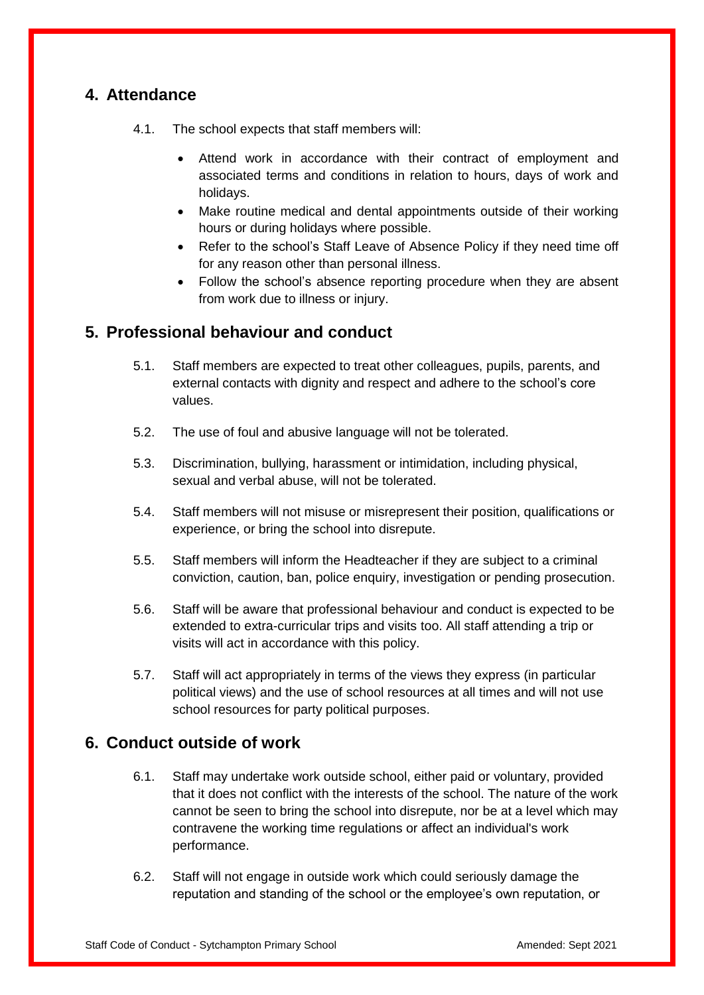### <span id="page-8-0"></span>**4. Attendance**

- 4.1. The school expects that staff members will:
	- Attend work in accordance with their contract of employment and associated terms and conditions in relation to hours, days of work and holidays.
	- Make routine medical and dental appointments outside of their working hours or during holidays where possible.
	- Refer to the school's Staff Leave of Absence Policy if they need time off for any reason other than personal illness.
	- Follow the school's absence reporting procedure when they are absent from work due to illness or injury.

#### <span id="page-8-1"></span>**5. Professional behaviour and conduct**

- 5.1. Staff members are expected to treat other colleagues, pupils, parents, and external contacts with dignity and respect and adhere to the school's core values.
- 5.2. The use of foul and abusive language will not be tolerated.
- 5.3. Discrimination, bullying, harassment or intimidation, including physical, sexual and verbal abuse, will not be tolerated.
- 5.4. Staff members will not misuse or misrepresent their position, qualifications or experience, or bring the school into disrepute.
- 5.5. Staff members will inform the Headteacher if they are subject to a criminal conviction, caution, ban, police enquiry, investigation or pending prosecution.
- 5.6. Staff will be aware that professional behaviour and conduct is expected to be extended to extra-curricular trips and visits too. All staff attending a trip or visits will act in accordance with this policy.
- 5.7. Staff will act appropriately in terms of the views they express (in particular political views) and the use of school resources at all times and will not use school resources for party political purposes.

#### <span id="page-8-2"></span>**6. Conduct outside of work**

- 6.1. Staff may undertake work outside school, either paid or voluntary, provided that it does not conflict with the interests of the school. The nature of the work cannot be seen to bring the school into disrepute, nor be at a level which may contravene the working time regulations or affect an individual's work performance.
- 6.2. Staff will not engage in outside work which could seriously damage the reputation and standing of the school or the employee's own reputation, or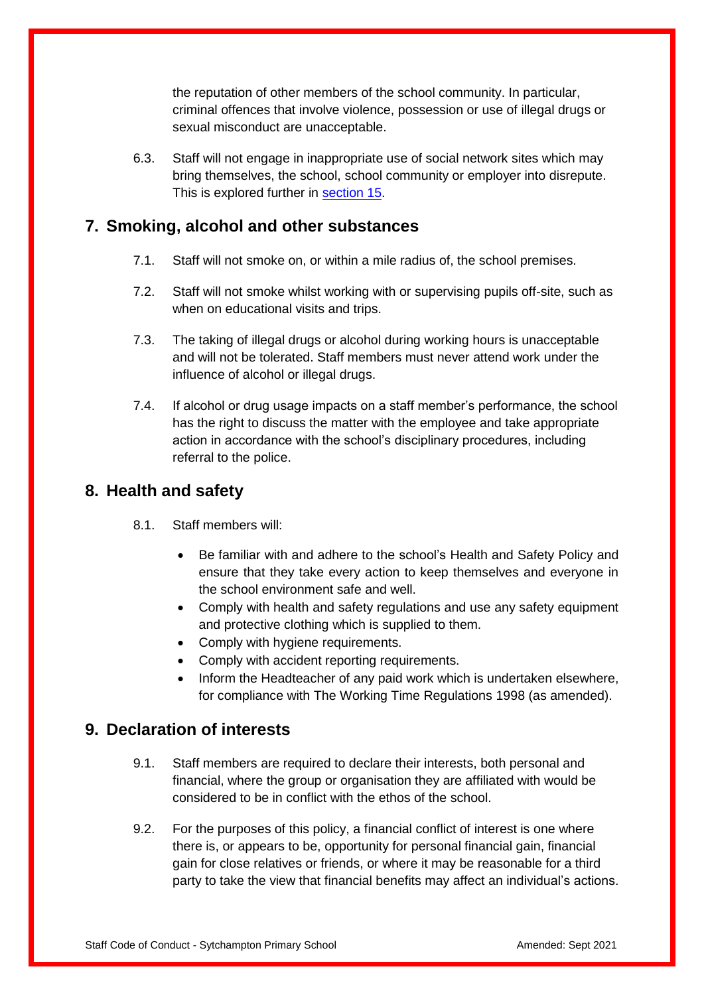the reputation of other members of the school community. In particular, criminal offences that involve violence, possession or use of illegal drugs or sexual misconduct are unacceptable.

6.3. Staff will not engage in inappropriate use of social network sites which may bring themselves, the school, school community or employer into disrepute. This is explored further in [section 15](#page-15-3).

#### <span id="page-9-0"></span>**7. Smoking, alcohol and other substances**

- 7.1. Staff will not smoke on, or within a mile radius of, the school premises.
- 7.2. Staff will not smoke whilst working with or supervising pupils off-site, such as when on educational visits and trips.
- 7.3. The taking of illegal drugs or alcohol during working hours is unacceptable and will not be tolerated. Staff members must never attend work under the influence of alcohol or illegal drugs.
- 7.4. If alcohol or drug usage impacts on a staff member's performance, the school has the right to discuss the matter with the employee and take appropriate action in accordance with the school's disciplinary procedures, including referral to the police.

### <span id="page-9-1"></span>**8. Health and safety**

- 8.1. Staff members will:
	- Be familiar with and adhere to the school's Health and Safety Policy and ensure that they take every action to keep themselves and everyone in the school environment safe and well.
	- Comply with health and safety regulations and use any safety equipment and protective clothing which is supplied to them.
	- Comply with hygiene requirements.
	- Comply with accident reporting requirements.
	- Inform the Headteacher of any paid work which is undertaken elsewhere, for compliance with The Working Time Regulations 1998 (as amended).

#### <span id="page-9-2"></span>**9. Declaration of interests**

- 9.1. Staff members are required to declare their interests, both personal and financial, where the group or organisation they are affiliated with would be considered to be in conflict with the ethos of the school.
- 9.2. For the purposes of this policy, a financial conflict of interest is one where there is, or appears to be, opportunity for personal financial gain, financial gain for close relatives or friends, or where it may be reasonable for a third party to take the view that financial benefits may affect an individual's actions.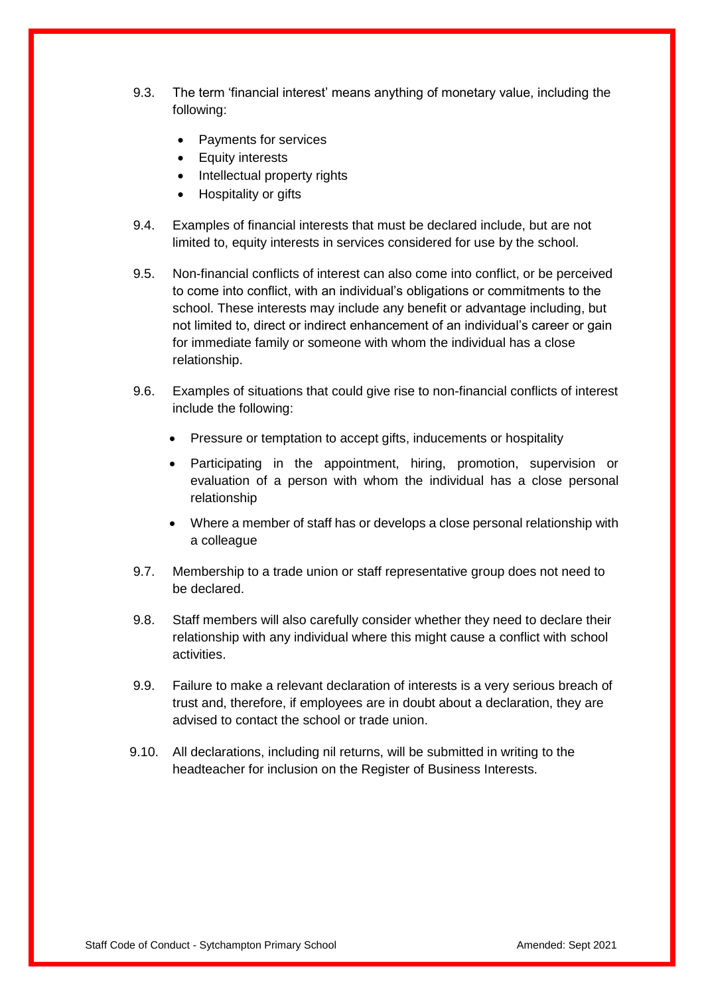- 9.3. The term 'financial interest' means anything of monetary value, including the following:
	- Payments for services
	- Equity interests
	- Intellectual property rights
	- Hospitality or gifts
- 9.4. Examples of financial interests that must be declared include, but are not limited to, equity interests in services considered for use by the school.
- 9.5. Non-financial conflicts of interest can also come into conflict, or be perceived to come into conflict, with an individual's obligations or commitments to the school. These interests may include any benefit or advantage including, but not limited to, direct or indirect enhancement of an individual's career or gain for immediate family or someone with whom the individual has a close relationship.
- 9.6. Examples of situations that could give rise to non-financial conflicts of interest include the following:
	- Pressure or temptation to accept gifts, inducements or hospitality
	- Participating in the appointment, hiring, promotion, supervision or evaluation of a person with whom the individual has a close personal relationship
	- Where a member of staff has or develops a close personal relationship with a colleague
- 9.7. Membership to a trade union or staff representative group does not need to be declared.
- 9.8. Staff members will also carefully consider whether they need to declare their relationship with any individual where this might cause a conflict with school activities.
- 9.9. Failure to make a relevant declaration of interests is a very serious breach of trust and, therefore, if employees are in doubt about a declaration, they are advised to contact the school or trade union.
- 9.10. All declarations, including nil returns, will be submitted in writing to the headteacher for inclusion on the Register of Business Interests.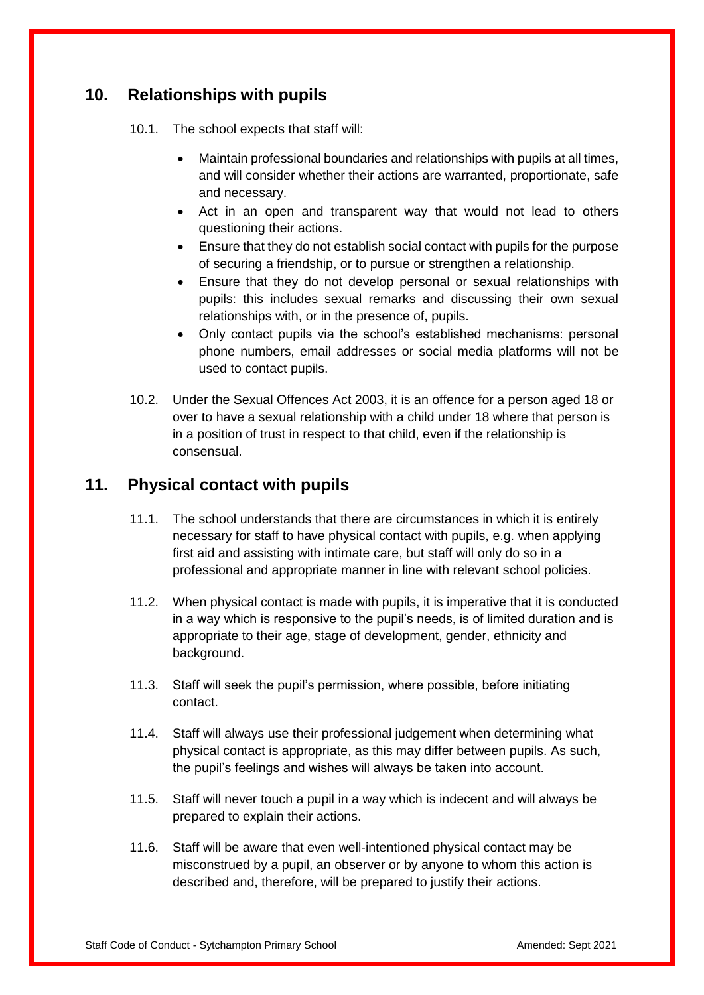## <span id="page-11-0"></span>**10. Relationships with pupils**

10.1. The school expects that staff will:

- Maintain professional boundaries and relationships with pupils at all times, and will consider whether their actions are warranted, proportionate, safe and necessary.
- Act in an open and transparent way that would not lead to others questioning their actions.
- Ensure that they do not establish social contact with pupils for the purpose of securing a friendship, or to pursue or strengthen a relationship.
- Ensure that they do not develop personal or sexual relationships with pupils: this includes sexual remarks and discussing their own sexual relationships with, or in the presence of, pupils.
- Only contact pupils via the school's established mechanisms: personal phone numbers, email addresses or social media platforms will not be used to contact pupils.
- 10.2. Under the Sexual Offences Act 2003, it is an offence for a person aged 18 or over to have a sexual relationship with a child under 18 where that person is in a position of trust in respect to that child, even if the relationship is consensual.

#### <span id="page-11-1"></span>**11. Physical contact with pupils**

- 11.1. The school understands that there are circumstances in which it is entirely necessary for staff to have physical contact with pupils, e.g. when applying first aid and assisting with intimate care, but staff will only do so in a professional and appropriate manner in line with relevant school policies.
- 11.2. When physical contact is made with pupils, it is imperative that it is conducted in a way which is responsive to the pupil's needs, is of limited duration and is appropriate to their age, stage of development, gender, ethnicity and background.
- 11.3. Staff will seek the pupil's permission, where possible, before initiating contact.
- 11.4. Staff will always use their professional judgement when determining what physical contact is appropriate, as this may differ between pupils. As such, the pupil's feelings and wishes will always be taken into account.
- 11.5. Staff will never touch a pupil in a way which is indecent and will always be prepared to explain their actions.
- 11.6. Staff will be aware that even well-intentioned physical contact may be misconstrued by a pupil, an observer or by anyone to whom this action is described and, therefore, will be prepared to justify their actions.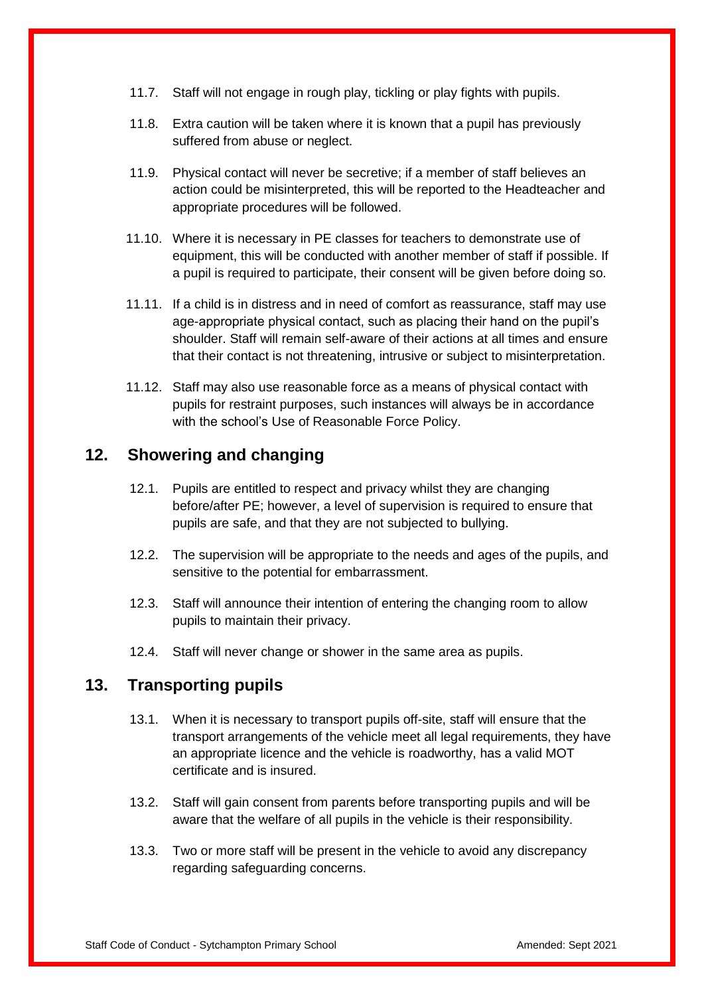- 11.7. Staff will not engage in rough play, tickling or play fights with pupils.
- 11.8. Extra caution will be taken where it is known that a pupil has previously suffered from abuse or neglect.
- 11.9. Physical contact will never be secretive; if a member of staff believes an action could be misinterpreted, this will be reported to the Headteacher and appropriate procedures will be followed.
- 11.10. Where it is necessary in PE classes for teachers to demonstrate use of equipment, this will be conducted with another member of staff if possible. If a pupil is required to participate, their consent will be given before doing so.
- 11.11. If a child is in distress and in need of comfort as reassurance, staff may use age-appropriate physical contact, such as placing their hand on the pupil's shoulder. Staff will remain self-aware of their actions at all times and ensure that their contact is not threatening, intrusive or subject to misinterpretation.
- 11.12. Staff may also use reasonable force as a means of physical contact with pupils for restraint purposes, such instances will always be in accordance with the school's Use of Reasonable Force Policy.

#### <span id="page-12-0"></span>**12. Showering and changing**

- 12.1. Pupils are entitled to respect and privacy whilst they are changing before/after PE; however, a level of supervision is required to ensure that pupils are safe, and that they are not subjected to bullying.
- 12.2. The supervision will be appropriate to the needs and ages of the pupils, and sensitive to the potential for embarrassment.
- 12.3. Staff will announce their intention of entering the changing room to allow pupils to maintain their privacy.
- 12.4. Staff will never change or shower in the same area as pupils.

#### <span id="page-12-1"></span>**13. Transporting pupils**

- 13.1. When it is necessary to transport pupils off-site, staff will ensure that the transport arrangements of the vehicle meet all legal requirements, they have an appropriate licence and the vehicle is roadworthy, has a valid MOT certificate and is insured.
- 13.2. Staff will gain consent from parents before transporting pupils and will be aware that the welfare of all pupils in the vehicle is their responsibility.
- 13.3. Two or more staff will be present in the vehicle to avoid any discrepancy regarding safeguarding concerns.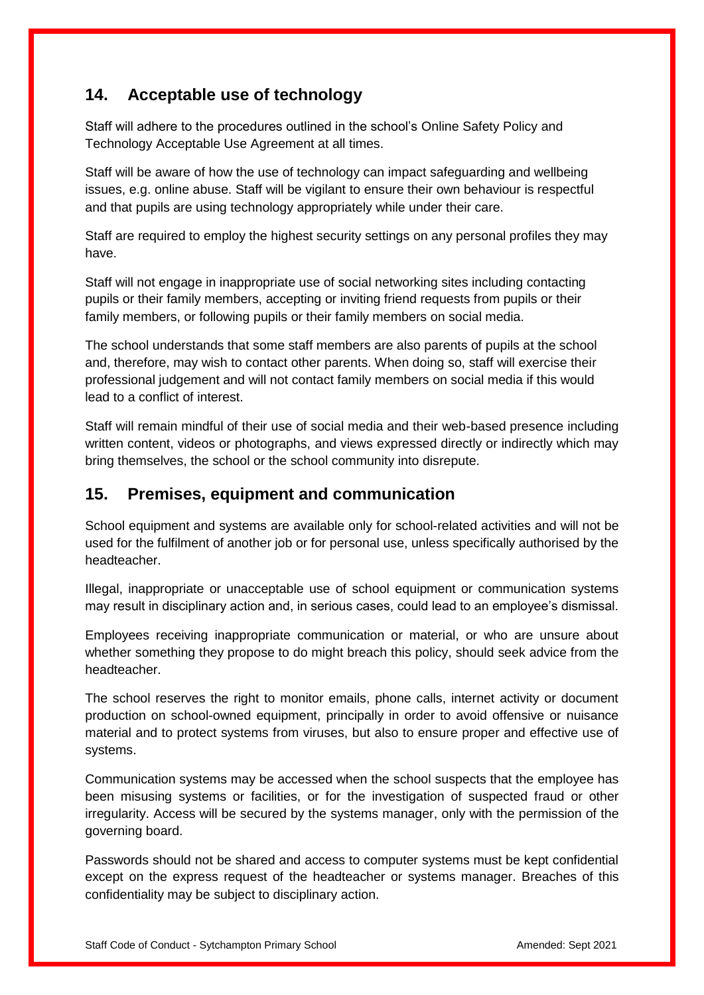## <span id="page-13-0"></span>**14. Acceptable use of technology**

Staff will adhere to the procedures outlined in the school's Online Safety Policy and Technology Acceptable Use Agreement at all times.

Staff will be aware of how the use of technology can impact safeguarding and wellbeing issues, e.g. online abuse. Staff will be vigilant to ensure their own behaviour is respectful and that pupils are using technology appropriately while under their care.

Staff are required to employ the highest security settings on any personal profiles they may have.

Staff will not engage in inappropriate use of social networking sites including contacting pupils or their family members, accepting or inviting friend requests from pupils or their family members, or following pupils or their family members on social media.

The school understands that some staff members are also parents of pupils at the school and, therefore, may wish to contact other parents. When doing so, staff will exercise their professional judgement and will not contact family members on social media if this would lead to a conflict of interest.

Staff will remain mindful of their use of social media and their web-based presence including written content, videos or photographs, and views expressed directly or indirectly which may bring themselves, the school or the school community into disrepute.

#### <span id="page-13-1"></span>**15. Premises, equipment and communication**

School equipment and systems are available only for school-related activities and will not be used for the fulfilment of another job or for personal use, unless specifically authorised by the headteacher.

Illegal, inappropriate or unacceptable use of school equipment or communication systems may result in disciplinary action and, in serious cases, could lead to an employee's dismissal.

Employees receiving inappropriate communication or material, or who are unsure about whether something they propose to do might breach this policy, should seek advice from the headteacher.

The school reserves the right to monitor emails, phone calls, internet activity or document production on school-owned equipment, principally in order to avoid offensive or nuisance material and to protect systems from viruses, but also to ensure proper and effective use of systems.

Communication systems may be accessed when the school suspects that the employee has been misusing systems or facilities, or for the investigation of suspected fraud or other irregularity. Access will be secured by the systems manager, only with the permission of the governing board.

Passwords should not be shared and access to computer systems must be kept confidential except on the express request of the headteacher or systems manager. Breaches of this confidentiality may be subject to disciplinary action.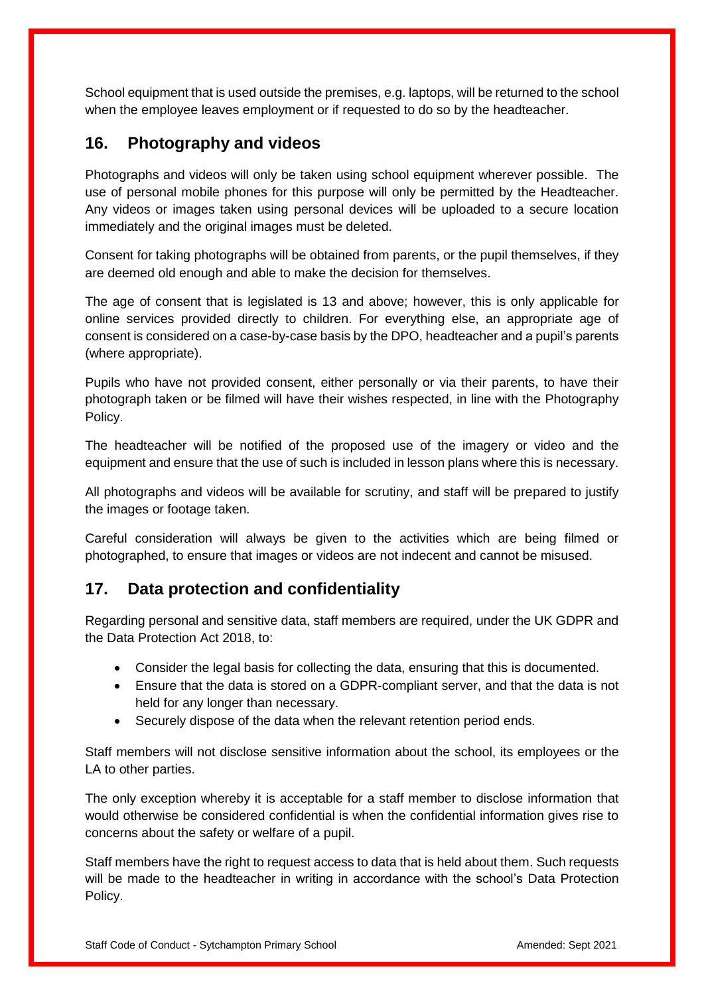School equipment that is used outside the premises, e.g. laptops, will be returned to the school when the employee leaves employment or if requested to do so by the headteacher.

### <span id="page-14-0"></span>**16. Photography and videos**

Photographs and videos will only be taken using school equipment wherever possible. The use of personal mobile phones for this purpose will only be permitted by the Headteacher. Any videos or images taken using personal devices will be uploaded to a secure location immediately and the original images must be deleted.

Consent for taking photographs will be obtained from parents, or the pupil themselves, if they are deemed old enough and able to make the decision for themselves.

The age of consent that is legislated is 13 and above; however, this is only applicable for online services provided directly to children. For everything else, an appropriate age of consent is considered on a case-by-case basis by the DPO, headteacher and a pupil's parents (where appropriate).

Pupils who have not provided consent, either personally or via their parents, to have their photograph taken or be filmed will have their wishes respected, in line with the Photography Policy.

The headteacher will be notified of the proposed use of the imagery or video and the equipment and ensure that the use of such is included in lesson plans where this is necessary.

All photographs and videos will be available for scrutiny, and staff will be prepared to justify the images or footage taken.

Careful consideration will always be given to the activities which are being filmed or photographed, to ensure that images or videos are not indecent and cannot be misused.

#### <span id="page-14-1"></span>**17. Data protection and confidentiality**

Regarding personal and sensitive data, staff members are required, under the UK GDPR and the Data Protection Act 2018, to:

- Consider the legal basis for collecting the data, ensuring that this is documented.
- Ensure that the data is stored on a GDPR-compliant server, and that the data is not held for any longer than necessary.
- Securely dispose of the data when the relevant retention period ends.

Staff members will not disclose sensitive information about the school, its employees or the LA to other parties.

The only exception whereby it is acceptable for a staff member to disclose information that would otherwise be considered confidential is when the confidential information gives rise to concerns about the safety or welfare of a pupil.

Staff members have the right to request access to data that is held about them. Such requests will be made to the headteacher in writing in accordance with the school's Data Protection Policy.